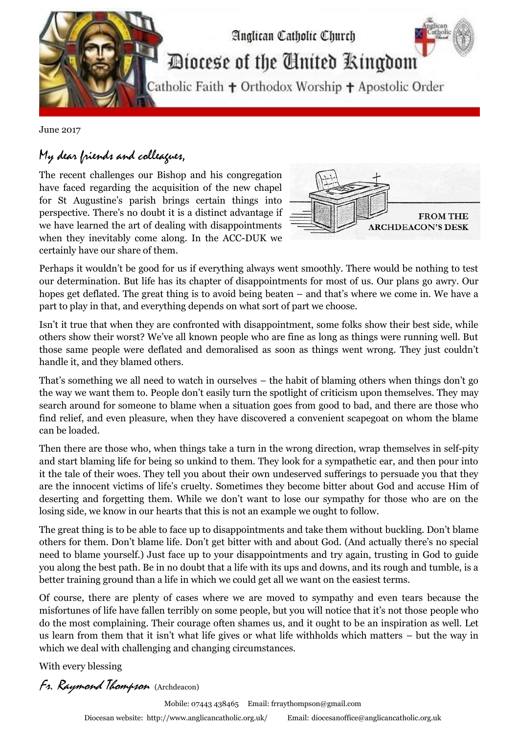

June 2017

## My dear friends and colleagues,

The recent challenges our Bishop and his congregation have faced regarding the acquisition of the new chapel for St Augustine's parish brings certain things into perspective. There's no doubt it is a distinct advantage if we have learned the art of dealing with disappointments when they inevitably come along. In the ACC-DUK we certainly have our share of them.



Perhaps it wouldn't be good for us if everything always went smoothly. There would be nothing to test our determination. But life has its chapter of disappointments for most of us. Our plans go awry. Our hopes get deflated. The great thing is to avoid being beaten – and that's where we come in. We have a part to play in that, and everything depends on what sort of part we choose.

Isn't it true that when they are confronted with disappointment, some folks show their best side, while others show their worst? We've all known people who are fine as long as things were running well. But those same people were deflated and demoralised as soon as things went wrong. They just couldn't handle it, and they blamed others.

That's something we all need to watch in ourselves – the habit of blaming others when things don't go the way we want them to. People don't easily turn the spotlight of criticism upon themselves. They may search around for someone to blame when a situation goes from good to bad, and there are those who find relief, and even pleasure, when they have discovered a convenient scapegoat on whom the blame can be loaded.

Then there are those who, when things take a turn in the wrong direction, wrap themselves in self-pity and start blaming life for being so unkind to them. They look for a sympathetic ear, and then pour into it the tale of their woes. They tell you about their own undeserved sufferings to persuade you that they are the innocent victims of life's cruelty. Sometimes they become bitter about God and accuse Him of deserting and forgetting them. While we don't want to lose our sympathy for those who are on the losing side, we know in our hearts that this is not an example we ought to follow.

The great thing is to be able to face up to disappointments and take them without buckling. Don't blame others for them. Don't blame life. Don't get bitter with and about God. (And actually there's no special need to blame yourself.) Just face up to your disappointments and try again, trusting in God to guide you along the best path. Be in no doubt that a life with its ups and downs, and its rough and tumble, is a better training ground than a life in which we could get all we want on the easiest terms.

Of course, there are plenty of cases where we are moved to sympathy and even tears because the misfortunes of life have fallen terribly on some people, but you will notice that it's not those people who do the most complaining. Their courage often shames us, and it ought to be an inspiration as well. Let us learn from them that it isn't what life gives or what life withholds which matters – but the way in which we deal with challenging and changing circumstances.

With every blessing

Fr. Raymond Thompson (Archdeacon)